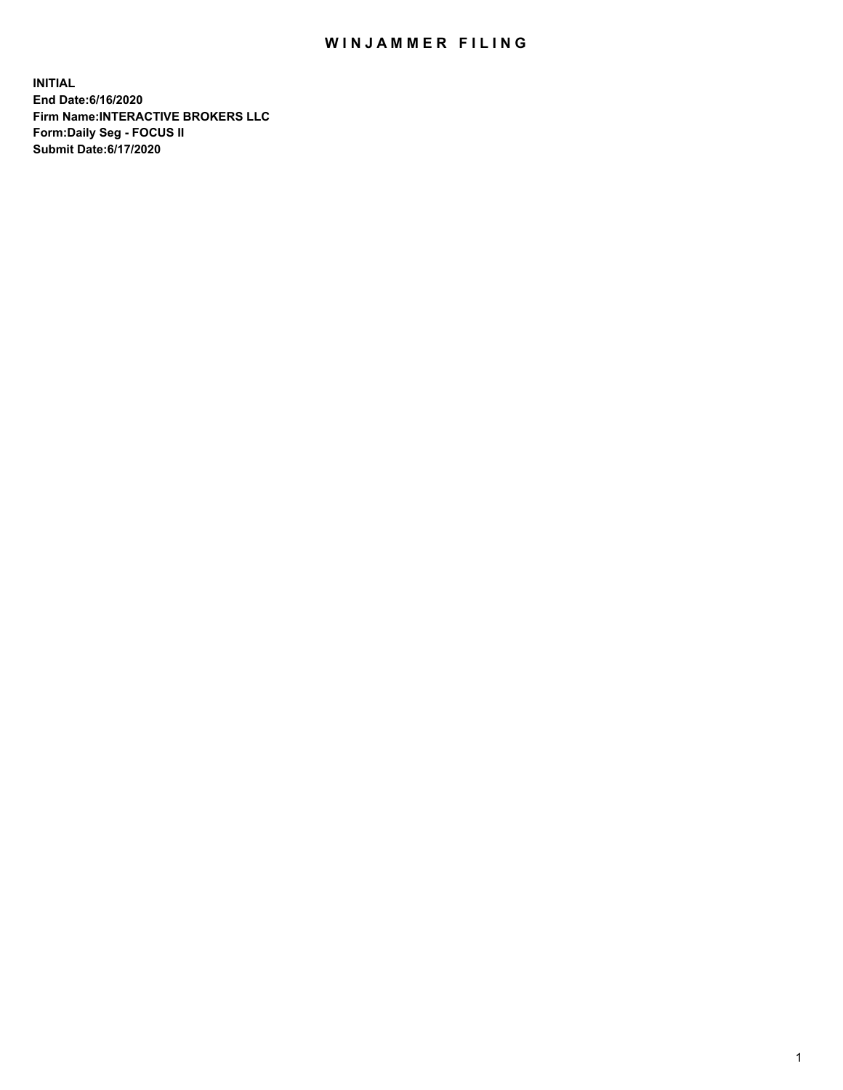## WIN JAMMER FILING

**INITIAL End Date:6/16/2020 Firm Name:INTERACTIVE BROKERS LLC Form:Daily Seg - FOCUS II Submit Date:6/17/2020**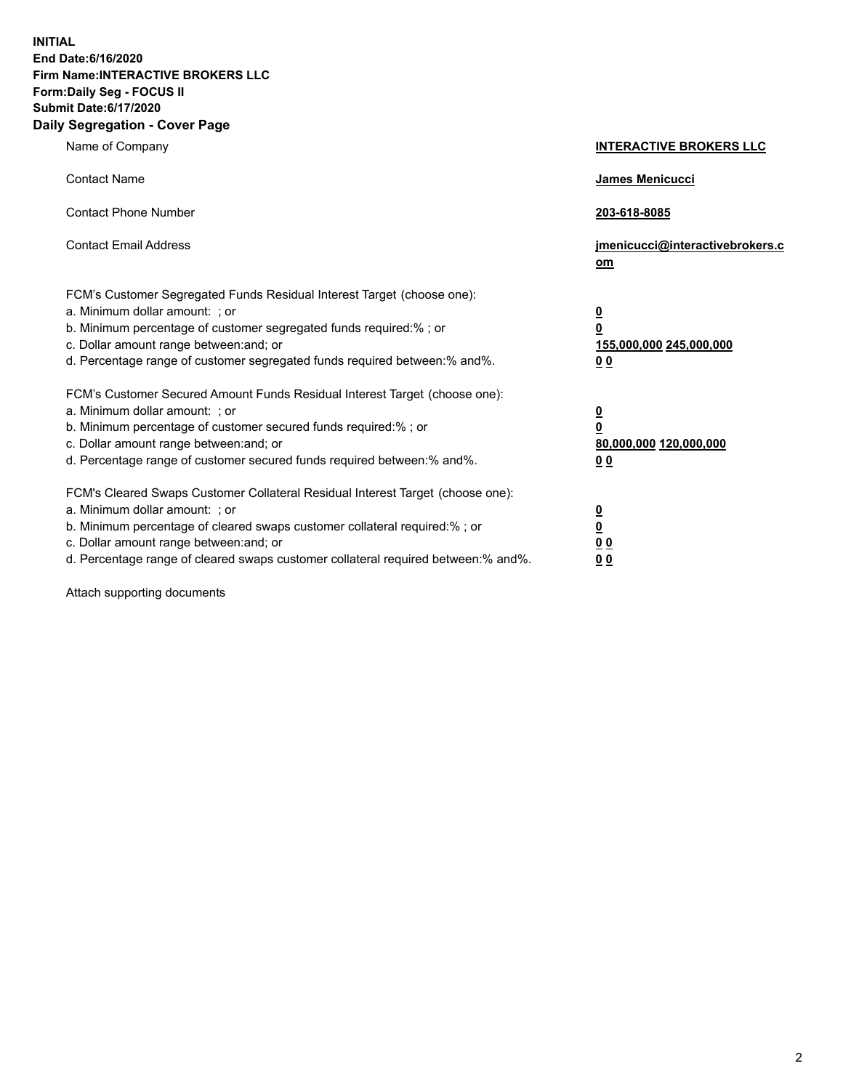**INITIAL End Date:6/16/2020 Firm Name:INTERACTIVE BROKERS LLC Form:Daily Seg - FOCUS II Submit Date:6/17/2020 Daily Segregation - Cover Page**

| Name of Company                                                                                                                                                                                                                                                                                                                | <b>INTERACTIVE BROKERS LLC</b>                                                   |
|--------------------------------------------------------------------------------------------------------------------------------------------------------------------------------------------------------------------------------------------------------------------------------------------------------------------------------|----------------------------------------------------------------------------------|
| <b>Contact Name</b>                                                                                                                                                                                                                                                                                                            | James Menicucci                                                                  |
| <b>Contact Phone Number</b>                                                                                                                                                                                                                                                                                                    | 203-618-8085                                                                     |
| <b>Contact Email Address</b>                                                                                                                                                                                                                                                                                                   | jmenicucci@interactivebrokers.c<br>om                                            |
| FCM's Customer Segregated Funds Residual Interest Target (choose one):<br>a. Minimum dollar amount: ; or<br>b. Minimum percentage of customer segregated funds required:% ; or<br>c. Dollar amount range between: and; or<br>d. Percentage range of customer segregated funds required between:% and%.                         | <u>0</u><br>$\overline{\mathbf{0}}$<br>155,000,000 245,000,000<br>0 <sub>0</sub> |
| FCM's Customer Secured Amount Funds Residual Interest Target (choose one):<br>a. Minimum dollar amount: ; or<br>b. Minimum percentage of customer secured funds required:% ; or<br>c. Dollar amount range between: and; or<br>d. Percentage range of customer secured funds required between:% and%.                           | <u>0</u><br>$\overline{\mathbf{0}}$<br>80,000,000 120,000,000<br>0 <sub>0</sub>  |
| FCM's Cleared Swaps Customer Collateral Residual Interest Target (choose one):<br>a. Minimum dollar amount: ; or<br>b. Minimum percentage of cleared swaps customer collateral required:% ; or<br>c. Dollar amount range between: and; or<br>d. Percentage range of cleared swaps customer collateral required between:% and%. | <u>0</u><br>$\underline{\mathbf{0}}$<br>0 <sub>0</sub><br>0 <sub>0</sub>         |

Attach supporting documents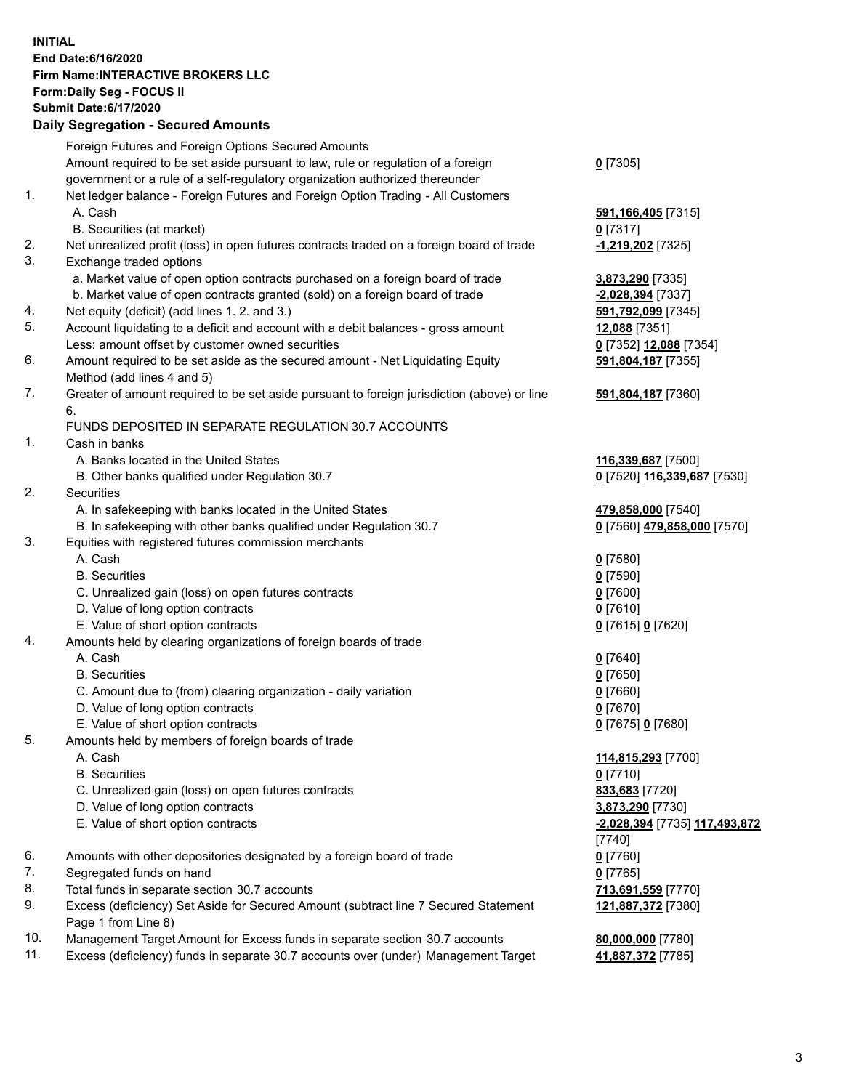**INITIAL End Date:6/16/2020 Firm Name:INTERACTIVE BROKERS LLC Form:Daily Seg - FOCUS II Submit Date:6/17/2020 Daily Segregation - Secured Amounts**

|     | Daily Segregation - Secureu Amounts                                                         |                                          |
|-----|---------------------------------------------------------------------------------------------|------------------------------------------|
|     | Foreign Futures and Foreign Options Secured Amounts                                         |                                          |
|     | Amount required to be set aside pursuant to law, rule or regulation of a foreign            | $0$ [7305]                               |
|     | government or a rule of a self-regulatory organization authorized thereunder                |                                          |
| 1.  | Net ledger balance - Foreign Futures and Foreign Option Trading - All Customers             |                                          |
|     | A. Cash                                                                                     | 591, 166, 405 [7315]                     |
|     | B. Securities (at market)                                                                   | $0$ [7317]                               |
| 2.  | Net unrealized profit (loss) in open futures contracts traded on a foreign board of trade   | -1,219,202 <sup>[7325]</sup>             |
| 3.  | Exchange traded options                                                                     |                                          |
|     | a. Market value of open option contracts purchased on a foreign board of trade              | 3,873,290 [7335]                         |
|     | b. Market value of open contracts granted (sold) on a foreign board of trade                | -2,028,394 [7337]                        |
| 4.  | Net equity (deficit) (add lines 1. 2. and 3.)                                               | 591,792,099 [7345]                       |
| 5.  | Account liquidating to a deficit and account with a debit balances - gross amount           | 12,088 [7351]                            |
|     | Less: amount offset by customer owned securities                                            | 0 [7352] 12,088 [7354]                   |
| 6.  | Amount required to be set aside as the secured amount - Net Liquidating Equity              | 591,804,187 [7355]                       |
|     | Method (add lines 4 and 5)                                                                  |                                          |
| 7.  | Greater of amount required to be set aside pursuant to foreign jurisdiction (above) or line | 591,804,187 [7360]                       |
|     | 6.                                                                                          |                                          |
|     | FUNDS DEPOSITED IN SEPARATE REGULATION 30.7 ACCOUNTS                                        |                                          |
| 1.  | Cash in banks                                                                               |                                          |
|     | A. Banks located in the United States                                                       | 116,339,687 [7500]                       |
|     | B. Other banks qualified under Regulation 30.7                                              | 0 [7520] 116,339,687 [7530]              |
| 2.  | <b>Securities</b>                                                                           |                                          |
|     | A. In safekeeping with banks located in the United States                                   | 479,858,000 [7540]                       |
|     | B. In safekeeping with other banks qualified under Regulation 30.7                          | 0 [7560] 479,858,000 [7570]              |
| 3.  | Equities with registered futures commission merchants                                       |                                          |
|     | A. Cash                                                                                     | $0$ [7580]                               |
|     | <b>B.</b> Securities                                                                        | $0$ [7590]                               |
|     | C. Unrealized gain (loss) on open futures contracts                                         | $0$ [7600]                               |
|     | D. Value of long option contracts                                                           | $0$ [7610]                               |
|     | E. Value of short option contracts                                                          | 0 [7615] 0 [7620]                        |
| 4.  | Amounts held by clearing organizations of foreign boards of trade                           |                                          |
|     | A. Cash                                                                                     | $0$ [7640]                               |
|     | <b>B.</b> Securities                                                                        | $0$ [7650]                               |
|     | C. Amount due to (from) clearing organization - daily variation                             | $0$ [7660]                               |
|     | D. Value of long option contracts                                                           | $0$ [7670]                               |
|     | E. Value of short option contracts                                                          | 0 [7675] 0 [7680]                        |
| 5.  | Amounts held by members of foreign boards of trade                                          |                                          |
|     | A. Cash                                                                                     | 114,815,293 [7700]                       |
|     | <b>B.</b> Securities                                                                        | $0$ [7710]                               |
|     | C. Unrealized gain (loss) on open futures contracts                                         | 833,683 [7720]                           |
|     | D. Value of long option contracts                                                           | 3,873,290 [7730]                         |
|     | E. Value of short option contracts                                                          | -2,028,394 [7735] 117,493,872            |
| 6.  |                                                                                             | [7740]                                   |
| 7.  | Amounts with other depositories designated by a foreign board of trade                      | $0$ [7760]                               |
| 8.  | Segregated funds on hand<br>Total funds in separate section 30.7 accounts                   | $0$ [7765]                               |
| 9.  | Excess (deficiency) Set Aside for Secured Amount (subtract line 7 Secured Statement         | 713,691,559 [7770]<br>121,887,372 [7380] |
|     | Page 1 from Line 8)                                                                         |                                          |
| 10. | Management Target Amount for Excess funds in separate section 30.7 accounts                 | 80,000,000 [7780]                        |
| 11. | Excess (deficiency) funds in separate 30.7 accounts over (under) Management Target          | 41,887,372 [7785]                        |
|     |                                                                                             |                                          |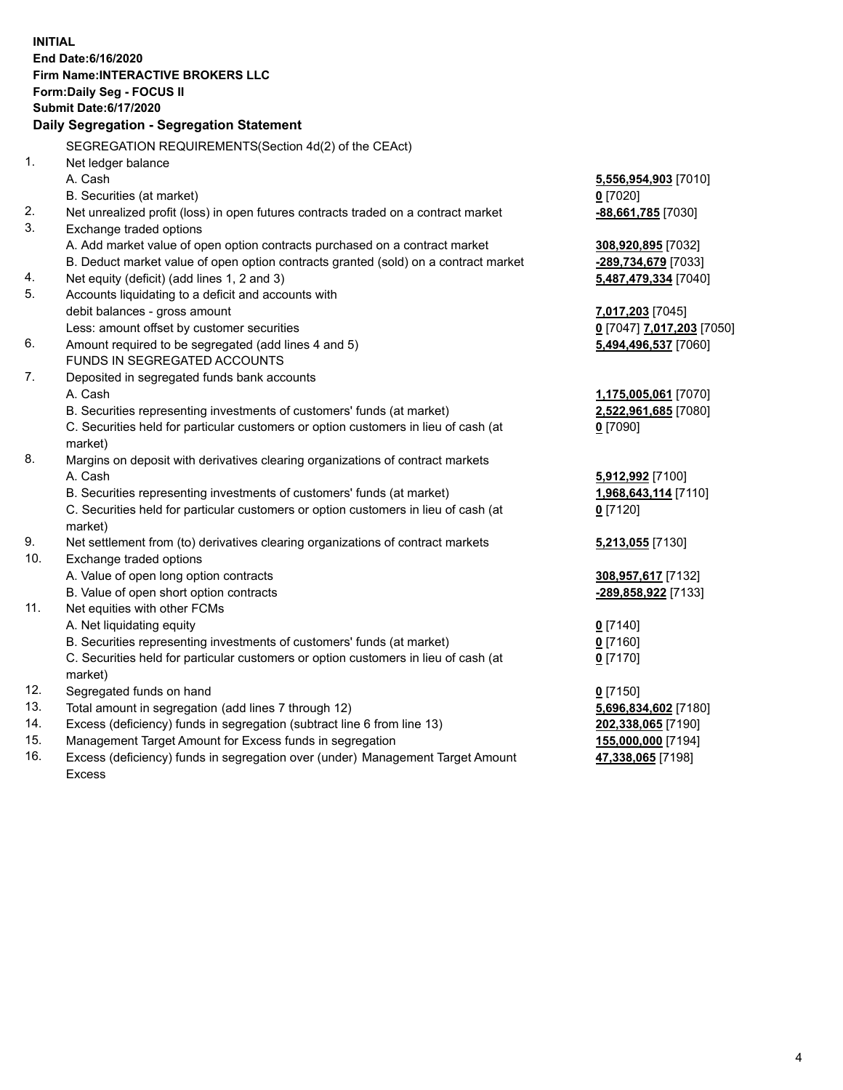**INITIAL End Date:6/16/2020 Firm Name:INTERACTIVE BROKERS LLC Form:Daily Seg - FOCUS II Submit Date:6/17/2020 Daily Segregation - Segregation Statement** SEGREGATION REQUIREMENTS(Section 4d(2) of the CEAct) 1. Net ledger balance A. Cash **5,556,954,903** [7010] B. Securities (at market) **0** [7020] 2. Net unrealized profit (loss) in open futures contracts traded on a contract market **-88,661,785** [7030] 3. Exchange traded options A. Add market value of open option contracts purchased on a contract market **308,920,895** [7032] B. Deduct market value of open option contracts granted (sold) on a contract market **-289,734,679** [7033] 4. Net equity (deficit) (add lines 1, 2 and 3) **5,487,479,334** [7040] 5. Accounts liquidating to a deficit and accounts with debit balances - gross amount **7,017,203** [7045] Less: amount offset by customer securities **0** [7047] **7,017,203** [7050] 6. Amount required to be segregated (add lines 4 and 5) **5,494,496,537** [7060] FUNDS IN SEGREGATED ACCOUNTS 7. Deposited in segregated funds bank accounts A. Cash **1,175,005,061** [7070] B. Securities representing investments of customers' funds (at market) **2,522,961,685** [7080] C. Securities held for particular customers or option customers in lieu of cash (at market) **0** [7090] 8. Margins on deposit with derivatives clearing organizations of contract markets A. Cash **5,912,992** [7100] B. Securities representing investments of customers' funds (at market) **1,968,643,114** [7110] C. Securities held for particular customers or option customers in lieu of cash (at market) **0** [7120] 9. Net settlement from (to) derivatives clearing organizations of contract markets **5,213,055** [7130] 10. Exchange traded options A. Value of open long option contracts **308,957,617** [7132] B. Value of open short option contracts **-289,858,922** [7133] 11. Net equities with other FCMs A. Net liquidating equity **0** [7140] B. Securities representing investments of customers' funds (at market) **0** [7160] C. Securities held for particular customers or option customers in lieu of cash (at market) **0** [7170] 12. Segregated funds on hand **0** [7150] 13. Total amount in segregation (add lines 7 through 12) **5,696,834,602** [7180] 14. Excess (deficiency) funds in segregation (subtract line 6 from line 13) **202,338,065** [7190] 15. Management Target Amount for Excess funds in segregation **155,000,000** [7194]

16. Excess (deficiency) funds in segregation over (under) Management Target Amount Excess

**47,338,065** [7198]